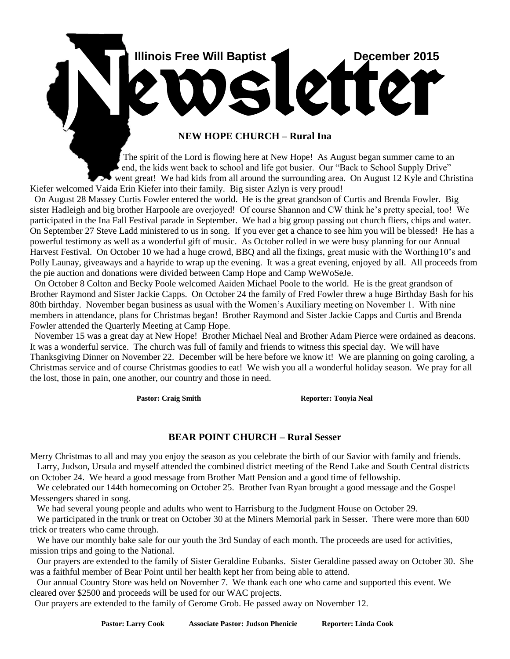

# **NEW HOPE CHURCH – Rural Ina**

 The spirit of the Lord is flowing here at New Hope! As August began summer came to an end, the kids went back to school and life got busier. Our "Back to School Supply Drive" went great! We had kids from all around the surrounding area. On August 12 Kyle and Christina Kiefer welcomed Vaida Erin Kiefer into their family. Big sister Azlyn is very proud!

 On August 28 Massey Curtis Fowler entered the world. He is the great grandson of Curtis and Brenda Fowler. Big sister Hadleigh and big brother Harpoole are overjoyed! Of course Shannon and CW think he's pretty special, too! We participated in the Ina Fall Festival parade in September. We had a big group passing out church fliers, chips and water. On September 27 Steve Ladd ministered to us in song. If you ever get a chance to see him you will be blessed! He has a powerful testimony as well as a wonderful gift of music. As October rolled in we were busy planning for our Annual Harvest Festival. On October 10 we had a huge crowd, BBQ and all the fixings, great music with the Worthing10's and Polly Launay, giveaways and a hayride to wrap up the evening. It was a great evening, enjoyed by all. All proceeds from the pie auction and donations were divided between Camp Hope and Camp WeWoSeJe.

 On October 8 Colton and Becky Poole welcomed Aaiden Michael Poole to the world. He is the great grandson of Brother Raymond and Sister Jackie Capps. On October 24 the family of Fred Fowler threw a huge Birthday Bash for his 80th birthday. November began business as usual with the Women's Auxiliary meeting on November 1. With nine members in attendance, plans for Christmas began! Brother Raymond and Sister Jackie Capps and Curtis and Brenda Fowler attended the Quarterly Meeting at Camp Hope.

 November 15 was a great day at New Hope! Brother Michael Neal and Brother Adam Pierce were ordained as deacons. It was a wonderful service. The church was full of family and friends to witness this special day. We will have Thanksgiving Dinner on November 22. December will be here before we know it! We are planning on going caroling, a Christmas service and of course Christmas goodies to eat! We wish you all a wonderful holiday season. We pray for all the lost, those in pain, one another, our country and those in need.

Pastor: Craig Smith Reporter: Tonyia Neal

### **BEAR POINT CHURCH – Rural Sesser**

Merry Christmas to all and may you enjoy the season as you celebrate the birth of our Savior with family and friends. Larry, Judson, Ursula and myself attended the combined district meeting of the Rend Lake and South Central districts

on October 24. We heard a good message from Brother Matt Pension and a good time of fellowship.

 We celebrated our 144th homecoming on October 25. Brother Ivan Ryan brought a good message and the Gospel Messengers shared in song.

We had several young people and adults who went to Harrisburg to the Judgment House on October 29.

We participated in the trunk or treat on October 30 at the Miners Memorial park in Sesser. There were more than 600 trick or treaters who came through.

We have our monthly bake sale for our youth the 3rd Sunday of each month. The proceeds are used for activities, mission trips and going to the National.

 Our prayers are extended to the family of Sister Geraldine Eubanks. Sister Geraldine passed away on October 30. She was a faithful member of Bear Point until her health kept her from being able to attend.

 Our annual Country Store was held on November 7. We thank each one who came and supported this event. We cleared over \$2500 and proceeds will be used for our WAC projects.

Our prayers are extended to the family of Gerome Grob. He passed away on November 12.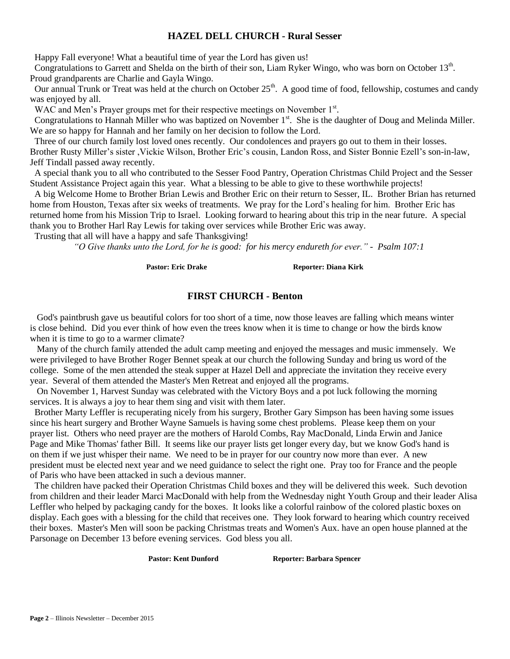# **HAZEL DELL CHURCH - Rural Sesser**

Happy Fall everyone! What a beautiful time of year the Lord has given us!

Congratulations to Garrett and Shelda on the birth of their son, Liam Ryker Wingo, who was born on October 13<sup>th</sup>. Proud grandparents are Charlie and Gayla Wingo.

Our annual Trunk or Treat was held at the church on October  $25<sup>th</sup>$ . A good time of food, fellowship, costumes and candy was enjoyed by all.

WAC and Men's Prayer groups met for their respective meetings on November 1<sup>st</sup>.

Congratulations to Hannah Miller who was baptized on November 1<sup>st</sup>. She is the daughter of Doug and Melinda Miller. We are so happy for Hannah and her family on her decision to follow the Lord.

 Three of our church family lost loved ones recently. Our condolences and prayers go out to them in their losses. Brother Rusty Miller's sister ,Vickie Wilson, Brother Eric's cousin, Landon Ross, and Sister Bonnie Ezell's son-in-law, Jeff Tindall passed away recently.

 A special thank you to all who contributed to the Sesser Food Pantry, Operation Christmas Child Project and the Sesser Student Assistance Project again this year. What a blessing to be able to give to these worthwhile projects!

 A big Welcome Home to Brother Brian Lewis and Brother Eric on their return to Sesser, IL. Brother Brian has returned home from Houston, Texas after six weeks of treatments. We pray for the Lord's healing for him. Brother Eric has returned home from his Mission Trip to Israel. Looking forward to hearing about this trip in the near future. A special thank you to Brother Harl Ray Lewis for taking over services while Brother Eric was away.

Trusting that all will have a happy and safe Thanksgiving!

*"O Give thanks unto the Lord, for he is good: for his mercy endureth for ever." - Psalm 107:1*

Pastor: Eric Drake Reporter: Diana Kirk

### **FIRST CHURCH - Benton**

 God's paintbrush gave us beautiful colors for too short of a time, now those leaves are falling which means winter is close behind. Did you ever think of how even the trees know when it is time to change or how the birds know when it is time to go to a warmer climate?

 Many of the church family attended the adult camp meeting and enjoyed the messages and music immensely. We were privileged to have Brother Roger Bennet speak at our church the following Sunday and bring us word of the college. Some of the men attended the steak supper at Hazel Dell and appreciate the invitation they receive every year. Several of them attended the Master's Men Retreat and enjoyed all the programs.

 On November 1, Harvest Sunday was celebrated with the Victory Boys and a pot luck following the morning services. It is always a joy to hear them sing and visit with them later.

 Brother Marty Leffler is recuperating nicely from his surgery, Brother Gary Simpson has been having some issues since his heart surgery and Brother Wayne Samuels is having some chest problems. Please keep them on your prayer list. Others who need prayer are the mothers of Harold Combs, Ray MacDonald, Linda Erwin and Janice Page and Mike Thomas' father Bill. It seems like our prayer lists get longer every day, but we know God's hand is on them if we just whisper their name. We need to be in prayer for our country now more than ever. A new president must be elected next year and we need guidance to select the right one. Pray too for France and the people of Paris who have been attacked in such a devious manner.

 The children have packed their Operation Christmas Child boxes and they will be delivered this week. Such devotion from children and their leader Marci MacDonald with help from the Wednesday night Youth Group and their leader Alisa Leffler who helped by packaging candy for the boxes. It looks like a colorful rainbow of the colored plastic boxes on display. Each goes with a blessing for the child that receives one. They look forward to hearing which country received their boxes. Master's Men will soon be packing Christmas treats and Women's Aux. have an open house planned at the Parsonage on December 13 before evening services. God bless you all.

**Pastor: Kent Dunford Reporter: Barbara Spencer**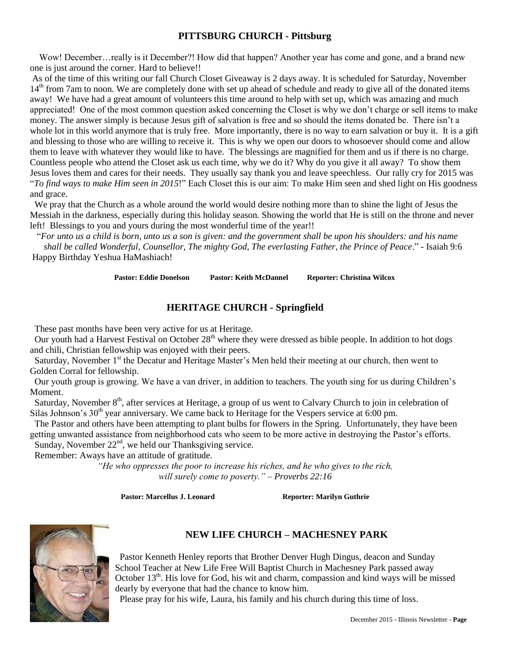# **PITTSBURG CHURCH - Pittsburg**

Wow! December...really is it December?! How did that happen? Another year has come and gone, and a brand new one is just around the corner. Hard to believe!!

As of the time of this writing our fall Church Closet Giveaway is 2 days away. It is scheduled for Saturday, November  $14<sup>th</sup>$  from 7am to noon. We are completely done with set up ahead of schedule and ready to give all of the donated items away! We have had a great amount of volunteers this time around to help with set up, which was amazing and much appreciated! One of the most common question asked concerning the Closet is why we don't charge or sell items to make money. The answer simply is because Jesus gift of salvation is free and so should the items donated be. There isn't a whole lot in this world anymore that is truly free. More importantly, there is no way to earn salvation or buy it. It is a gift and blessing to those who are willing to receive it. This is why we open our doors to whosoever should come and allow them to leave with whatever they would like to have. The blessings are magnified for them and us if there is no charge. Countless people who attend the Closet ask us each time, why we do it? Why do you give it all away? To show them Jesus loves them and cares for their needs. They usually say thank you and leave speechless. Our rally cry for 2015 was "*To find ways to make Him seen in 2015*!" Each Closet this is our aim: To make Him seen and shed light on His goodness and grace.

 We pray that the Church as a whole around the world would desire nothing more than to shine the light of Jesus the Messiah in the darkness, especially during this holiday season. Showing the world that He is still on the throne and never left! Blessings to you and yours during the most wonderful time of the year!!

 "*For unto us a child is born, unto us a son is given: and the government shall be upon his shoulders: and his name shall be called Wonderful, Counsellor, The mighty God, The everlasting Father, the Prince of Peace*." - Isaiah 9:6 Happy Birthday Yeshua HaMashiach!

**Pastor: Eddie Donelson Pastor: Keith McDannel Reporter: Christina Wilcox**

# **HERITAGE CHURCH - Springfield**

These past months have been very active for us at Heritage.

Our youth had a Harvest Festival on October  $28<sup>th</sup>$  where they were dressed as bible people. In addition to hot dogs and chili, Christian fellowship was enjoyed with their peers.

Saturday, November 1<sup>st</sup> the Decatur and Heritage Master's Men held their meeting at our church, then went to Golden Corral for fellowship.

Our youth group is growing. We have a van driver, in addition to teachers. The youth sing for us during Children's Moment.

Saturday, November 8<sup>th</sup>, after services at Heritage, a group of us went to Calvary Church to join in celebration of Silas Johnson's 30<sup>th</sup> year anniversary. We came back to Heritage for the Vespers service at 6:00 pm.

The Pastor and others have been attempting to plant bulbs for flowers in the Spring. Unfortunately, they have been getting unwanted assistance from neighborhood cats who seem to be more active in destroying the Pastor's efforts. Sunday, November  $22<sup>nd</sup>$ , we held our Thanksgiving service.

Remember: Aways have an attitude of gratitude.

*"He who oppresses the poor to increase his riches, and he who gives to the rich, will surely come to poverty." – Proverbs 22:16*

Pastor: Marcellus J. Leonard Reporter: Marilyn Guthrie



# **NEW LIFE CHURCH – MACHESNEY PARK**

 Pastor Kenneth Henley reports that Brother Denver Hugh Dingus, deacon and Sunday School Teacher at New Life Free Will Baptist Church in Machesney Park passed away October  $13<sup>th</sup>$ . His love for God, his wit and charm, compassion and kind ways will be missed dearly by everyone that had the chance to know him.

Please pray for his wife, Laura, his family and his church during this time of loss.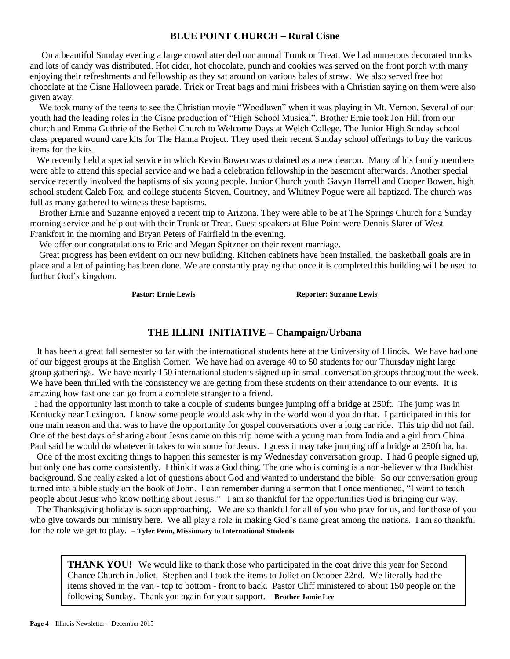### **BLUE POINT CHURCH – Rural Cisne**

On a beautiful Sunday evening a large crowd attended our annual Trunk or Treat. We had numerous decorated trunks and lots of candy was distributed. Hot cider, hot chocolate, punch and cookies was served on the front porch with many enjoying their refreshments and fellowship as they sat around on various bales of straw. We also served free hot chocolate at the Cisne Halloween parade. Trick or Treat bags and mini frisbees with a Christian saying on them were also given away.

We took many of the teens to see the Christian movie "Woodlawn" when it was playing in Mt. Vernon. Several of our youth had the leading roles in the Cisne production of "High School Musical". Brother Ernie took Jon Hill from our church and Emma Guthrie of the Bethel Church to Welcome Days at Welch College. The Junior High Sunday school class prepared wound care kits for The Hanna Project. They used their recent Sunday school offerings to buy the various items for the kits.

We recently held a special service in which Kevin Bowen was ordained as a new deacon. Many of his family members were able to attend this special service and we had a celebration fellowship in the basement afterwards. Another special service recently involved the baptisms of six young people. Junior Church youth Gavyn Harrell and Cooper Bowen, high school student Caleb Fox, and college students Steven, Courtney, and Whitney Pogue were all baptized. The church was full as many gathered to witness these baptisms.

Brother Ernie and Suzanne enjoyed a recent trip to Arizona. They were able to be at The Springs Church for a Sunday morning service and help out with their Trunk or Treat. Guest speakers at Blue Point were Dennis Slater of West Frankfort in the morning and Bryan Peters of Fairfield in the evening.

We offer our congratulations to Eric and Megan Spitzner on their recent marriage.

Great progress has been evident on our new building. Kitchen cabinets have been installed, the basketball goals are in place and a lot of painting has been done. We are constantly praying that once it is completed this building will be used to further God's kingdom.

Pastor: Ernie Lewis **Reporter: Suzanne Lewis** 

#### **THE ILLINI INITIATIVE – Champaign/Urbana**

 It has been a great fall semester so far with the international students here at the University of Illinois. We have had one of our biggest groups at the English Corner. We have had on average 40 to 50 students for our Thursday night large group gatherings. We have nearly 150 international students signed up in small conversation groups throughout the week. We have been thrilled with the consistency we are getting from these students on their attendance to our events. It is amazing how fast one can go from a complete stranger to a friend.

 I had the opportunity last month to take a couple of students bungee jumping off a bridge at 250ft. The jump was in Kentucky near Lexington. I know some people would ask why in the world would you do that. I participated in this for one main reason and that was to have the opportunity for gospel conversations over a long car ride. This trip did not fail. One of the best days of sharing about Jesus came on this trip home with a young man from India and a girl from China. Paul said he would do whatever it takes to win some for Jesus. I guess it may take jumping off a bridge at 250ft ha, ha.

 One of the most exciting things to happen this semester is my Wednesday conversation group. I had 6 people signed up, but only one has come consistently. I think it was a God thing. The one who is coming is a non-believer with a Buddhist background. She really asked a lot of questions about God and wanted to understand the bible. So our conversation group turned into a bible study on the book of John. I can remember during a sermon that I once mentioned, "I want to teach people about Jesus who know nothing about Jesus." I am so thankful for the opportunities God is bringing our way.

 The Thanksgiving holiday is soon approaching. We are so thankful for all of you who pray for us, and for those of you who give towards our ministry here. We all play a role in making God's name great among the nations. I am so thankful for the role we get to play. **– Tyler Penn, Missionary to International Students** 

**THANK YOU!** We would like to thank those who participated in the coat drive this year for Second Chance Church in Joliet. Stephen and I took the items to Joliet on October 22nd. We literally had the items shoved in the van - top to bottom - front to back. Pastor Cliff ministered to about 150 people on the following Sunday. Thank you again for your support. – **Brother Jamie Lee**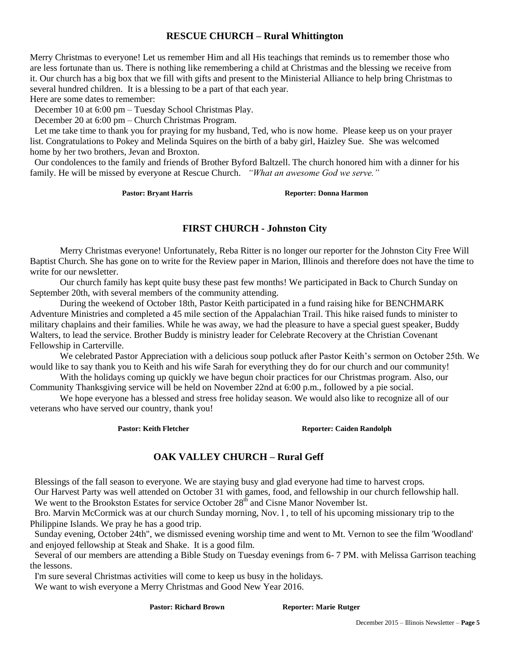# **RESCUE CHURCH – Rural Whittington**

Merry Christmas to everyone! Let us remember Him and all His teachings that reminds us to remember those who are less fortunate than us. There is nothing like remembering a child at Christmas and the blessing we receive from it. Our church has a big box that we fill with gifts and present to the Ministerial Alliance to help bring Christmas to several hundred children. It is a blessing to be a part of that each year.

Here are some dates to remember:

December 10 at 6:00 pm – Tuesday School Christmas Play.

December 20 at 6:00 pm – Church Christmas Program.

 Let me take time to thank you for praying for my husband, Ted, who is now home. Please keep us on your prayer list. Congratulations to Pokey and Melinda Squires on the birth of a baby girl, Haizley Sue. She was welcomed home by her two brothers, Jevan and Broxton.

 Our condolences to the family and friends of Brother Byford Baltzell. The church honored him with a dinner for his family. He will be missed by everyone at Rescue Church. *"What an awesome God we serve."*

Pastor: Bryant Harris **Reporter: Donna Harmon** 

### **FIRST CHURCH - Johnston City**

Merry Christmas everyone! Unfortunately, Reba Ritter is no longer our reporter for the Johnston City Free Will Baptist Church. She has gone on to write for the Review paper in Marion, Illinois and therefore does not have the time to write for our newsletter.

Our church family has kept quite busy these past few months! We participated in Back to Church Sunday on September 20th, with several members of the community attending.

During the weekend of October 18th, Pastor Keith participated in a fund raising hike for BENCHMARK Adventure Ministries and completed a 45 mile section of the Appalachian Trail. This hike raised funds to minister to military chaplains and their families. While he was away, we had the pleasure to have a special guest speaker, Buddy Walters, to lead the service. Brother Buddy is ministry leader for Celebrate Recovery at the Christian Covenant Fellowship in Carterville.

We celebrated Pastor Appreciation with a delicious soup potluck after Pastor Keith's sermon on October 25th. We would like to say thank you to Keith and his wife Sarah for everything they do for our church and our community!

With the holidays coming up quickly we have begun choir practices for our Christmas program. Also, our Community Thanksgiving service will be held on November 22nd at 6:00 p.m., followed by a pie social.

We hope everyone has a blessed and stress free holiday season. We would also like to recognize all of our veterans who have served our country, thank you!

Pastor: Keith Fletcher **Reporter: Caiden Randolph** 

### **OAK VALLEY CHURCH – Rural Geff**

 Blessings of the fall season to everyone. We are staying busy and glad everyone had time to harvest crops. Our Harvest Party was well attended on October 31 with games, food, and fellowship in our church fellowship hall. We went to the Brookston Estates for service October 28<sup>th</sup> and Cisne Manor November 1st.

 Bro. Marvin McCormick was at our church Sunday morning, Nov. l , to tell of his upcoming missionary trip to the Philippine Islands. We pray he has a good trip.

 Sunday evening, October 24th", we dismissed evening worship time and went to Mt. Vernon to see the film 'Woodland' and enjoyed fellowship at Steak and Shake. It is a good film.

 Several of our members are attending a Bible Study on Tuesday evenings from 6- 7 PM. with Melissa Garrison teaching the lessons.

I'm sure several Christmas activities will come to keep us busy in the holidays.

We want to wish everyone a Merry Christmas and Good New Year 2016.

Pastor: Richard Brown Reporter: Marie Rutger